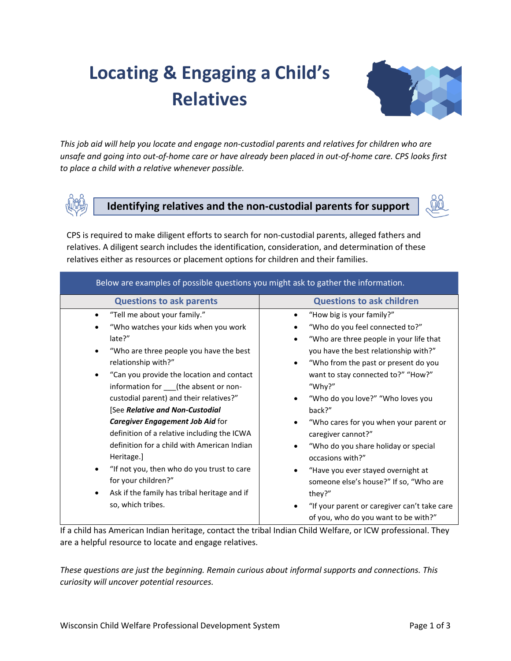# **Locating & Engaging a Child's Relatives**



*This job aid will help you locate and engage non-custodial parents and relatives for children who are unsafe and going into out-of-home care or have already been placed in out-of-home care. CPS looks first to place a child with a relative whenever possible.*



**Identifying relatives and the non-custodial parents for support**



CPS is required to make diligent efforts to search for non-custodial parents, alleged fathers and relatives. A diligent search includes the identification, consideration, and determination of these relatives either as resources or placement options for children and their families.

| Below are examples of possible questions you might ask to gather the information.                                                                                                                                                                                                                                                                                                                                                                                                                                                                                                                               |                                                                                                                                                                                                                                                                                                                                                                                                                                                                                                                                                                            |  |  |  |
|-----------------------------------------------------------------------------------------------------------------------------------------------------------------------------------------------------------------------------------------------------------------------------------------------------------------------------------------------------------------------------------------------------------------------------------------------------------------------------------------------------------------------------------------------------------------------------------------------------------------|----------------------------------------------------------------------------------------------------------------------------------------------------------------------------------------------------------------------------------------------------------------------------------------------------------------------------------------------------------------------------------------------------------------------------------------------------------------------------------------------------------------------------------------------------------------------------|--|--|--|
| <b>Questions to ask parents</b>                                                                                                                                                                                                                                                                                                                                                                                                                                                                                                                                                                                 | <b>Questions to ask children</b>                                                                                                                                                                                                                                                                                                                                                                                                                                                                                                                                           |  |  |  |
| "Tell me about your family."<br>"Who watches your kids when you work<br>late?"<br>"Who are three people you have the best<br>relationship with?"<br>"Can you provide the location and contact<br>information for ___(the absent or non-<br>custodial parent) and their relatives?"<br>[See Relative and Non-Custodial<br>Caregiver Engagement Job Aid for<br>definition of a relative including the ICWA<br>definition for a child with American Indian<br>Heritage.]<br>"If not you, then who do you trust to care<br>for your children?"<br>Ask if the family has tribal heritage and if<br>so, which tribes. | "How big is your family?"<br>"Who do you feel connected to?"<br>"Who are three people in your life that<br>you have the best relationship with?"<br>"Who from the past or present do you<br>$\bullet$<br>want to stay connected to?" "How?"<br>"Why?"<br>"Who do you love?" "Who loves you<br>back?"<br>"Who cares for you when your parent or<br>caregiver cannot?"<br>"Who do you share holiday or special<br>occasions with?"<br>"Have you ever stayed overnight at<br>someone else's house?" If so, "Who are<br>they?"<br>"If your parent or caregiver can't take care |  |  |  |
|                                                                                                                                                                                                                                                                                                                                                                                                                                                                                                                                                                                                                 | of you, who do you want to be with?"                                                                                                                                                                                                                                                                                                                                                                                                                                                                                                                                       |  |  |  |

If a child has American Indian heritage, contact the tribal Indian Child Welfare, or ICW professional. They are a helpful resource to locate and engage relatives.

*These questions are just the beginning. Remain curious about informal supports and connections. This curiosity will uncover potential resources.*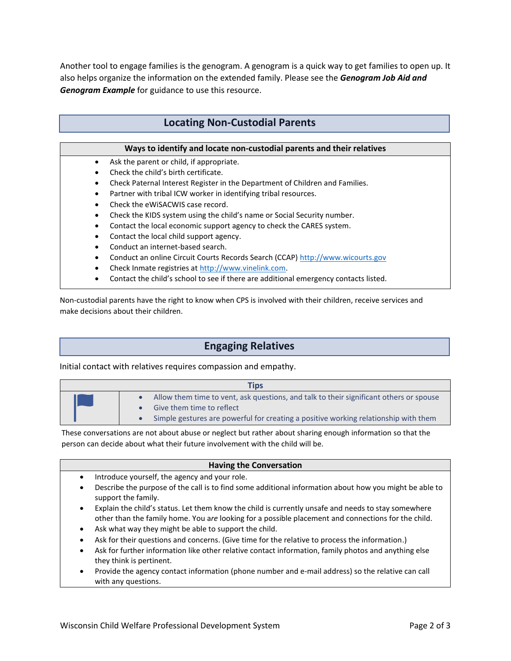Another tool to engage families is the genogram. A genogram is a quick way to get families to open up. It also helps organize the information on the extended family. Please see the *Genogram Job Aid and Genogram Example* for guidance to use this resource.

### **Locating Non-Custodial Parents**

#### **Ways to identify and locate non-custodial parents and their relatives**

- Ask the parent or child, if appropriate.
- Check the child's birth certificate.
- Check Paternal Interest Register in the Department of Children and Families.
- Partner with tribal ICW worker in identifying tribal resources.
- Check the eWiSACWIS case record.
- Check the KIDS system using the child's name or Social Security number.
- Contact the local economic support agency to check the CARES system.
- Contact the local child support agency.
- Conduct an internet-based search.
- Conduct an online Circuit Courts Records Search (CCAP) [http://www.wicourts.gov](http://www.wicourts.gov/)
- Check Inmate registries a[t http://www.vinelink.com.](http://www.vinelink.com/)
- Contact the child's school to see if there are additional emergency contacts listed.

Non-custodial parents have the right to know when CPS is involved with their children, receive services and make decisions about their children.

## **Engaging Relatives**

Initial contact with relatives requires compassion and empathy.

| Tips |                                                                                        |  |  |  |
|------|----------------------------------------------------------------------------------------|--|--|--|
|      | Allow them time to vent, ask questions, and talk to their significant others or spouse |  |  |  |
|      | Give them time to reflect                                                              |  |  |  |
|      | Simple gestures are powerful for creating a positive working relationship with them    |  |  |  |

These conversations are not about abuse or neglect but rather about sharing enough information so that the person can decide about what their future involvement with the child will be.

#### **Having the Conversation**

- Introduce yourself, the agency and your role.
- Describe the purpose of the call is to find some additional information about how you might be able to support the family.
- Explain the child's status. Let them know the child is currently unsafe and needs to stay somewhere other than the family home. You a*re* looking for a possible placement and connections for the child.
- Ask what way they might be able to support the child.
- Ask for their questions and concerns. (Give time for the relative to process the information.)
- Ask for further information like other relative contact information, family photos and anything else they think is pertinent.
- Provide the agency contact information (phone number and e-mail address) so the relative can call with any questions.